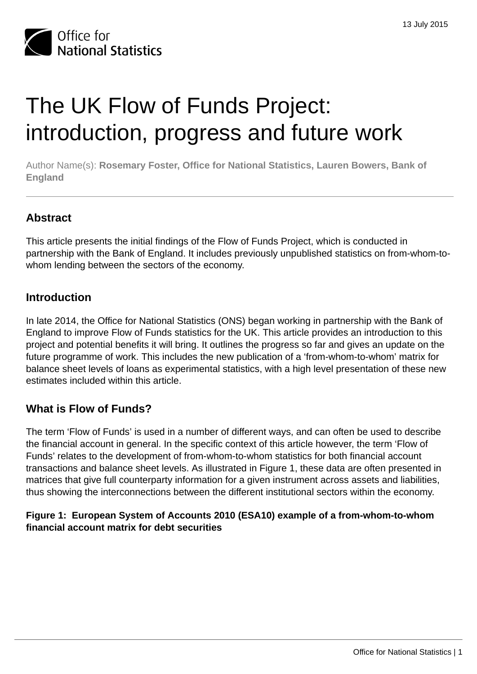

# The UK Flow of Funds Project: introduction, progress and future work

Author Name(s): **Rosemary Foster, Office for National Statistics, Lauren Bowers, Bank of England**

# **Abstract**

This article presents the initial findings of the Flow of Funds Project, which is conducted in partnership with the Bank of England. It includes previously unpublished statistics on from-whom-towhom lending between the sectors of the economy.

# **Introduction**

In late 2014, the Office for National Statistics (ONS) began working in partnership with the Bank of England to improve Flow of Funds statistics for the UK. This article provides an introduction to this project and potential benefits it will bring. It outlines the progress so far and gives an update on the future programme of work. This includes the new publication of a 'from-whom-to-whom' matrix for balance sheet levels of loans as experimental statistics, with a high level presentation of these new estimates included within this article.

# **What is Flow of Funds?**

The term 'Flow of Funds' is used in a number of different ways, and can often be used to describe the financial account in general. In the specific context of this article however, the term 'Flow of Funds' relates to the development of from-whom-to-whom statistics for both financial account transactions and balance sheet levels. As illustrated in Figure 1, these data are often presented in matrices that give full counterparty information for a given instrument across assets and liabilities, thus showing the interconnections between the different institutional sectors within the economy.

## **Figure 1: European System of Accounts 2010 (ESA10) example of a from-whom-to-whom financial account matrix for debt securities**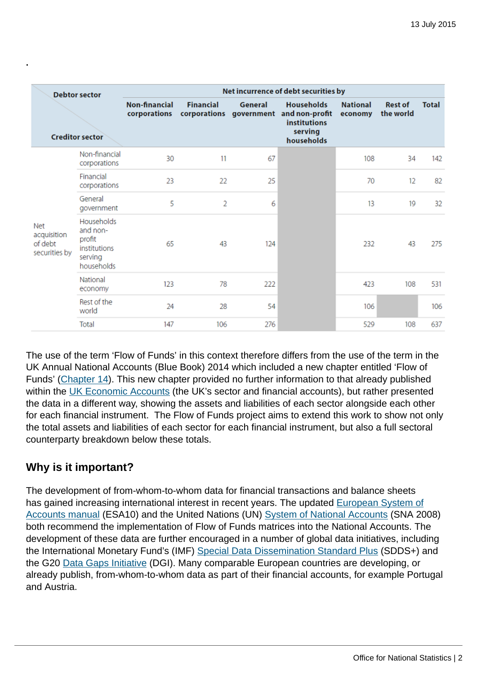| <b>Debtor sector</b><br><b>Creditor sector</b>        |                                                                           | Net incurrence of debt securities by |                  |         |                                                                                                             |                            |                             |              |  |  |
|-------------------------------------------------------|---------------------------------------------------------------------------|--------------------------------------|------------------|---------|-------------------------------------------------------------------------------------------------------------|----------------------------|-----------------------------|--------------|--|--|
|                                                       |                                                                           | Non-financial<br>corporations        | <b>Financial</b> | General | <b>Households</b><br>corporations government and non-profit<br><b>institutions</b><br>serving<br>households | <b>National</b><br>economy | <b>Rest of</b><br>the world | <b>Total</b> |  |  |
| <b>Net</b><br>acquisition<br>of debt<br>securities by | Non-financial<br>corporations                                             | 30                                   | 11               | 67      |                                                                                                             | 108                        | 34                          | 142          |  |  |
|                                                       | Financial<br>corporations                                                 | 23                                   | 22               | 25      |                                                                                                             | 70                         | 12                          | 82           |  |  |
|                                                       | General<br>government                                                     | 5                                    | 2                | 6       |                                                                                                             | 13                         | 19                          | 32           |  |  |
|                                                       | Households<br>and non-<br>profit<br>institutions<br>serving<br>households | 65                                   | 43               | 124     |                                                                                                             | 232                        | 43                          | 275          |  |  |
|                                                       | National<br>economy                                                       | 123                                  | 78               | 222     |                                                                                                             | 423                        | 108                         | 531          |  |  |
|                                                       | Rest of the<br>world                                                      | 24                                   | 28               | 54      |                                                                                                             | 106                        |                             | 106          |  |  |
|                                                       | Total                                                                     | 147                                  | 106              | 276     |                                                                                                             | 529                        | 108                         | 637          |  |  |

The use of the term 'Flow of Funds' in this context therefore differs from the use of the term in the UK Annual National Accounts (Blue Book) 2014 which included a new chapter entitled 'Flow of Funds' ([Chapter 14](http://www.ons.gov.uk:80/ons/rel/naa1-rd/united-kingdom-national-accounts/the-blue-book--2014-edition/rpt---chapter-14.html)). This new chapter provided no further information to that already published within the [UK Economic Accounts](http://www.ons.gov.uk:80/ons/rel/naa1-rd/united-kingdom-economic-accounts/index.html) (the UK's sector and financial accounts), but rather presented the data in a different way, showing the assets and liabilities of each sector alongside each other for each financial instrument. The Flow of Funds project aims to extend this work to show not only the total assets and liabilities of each sector for each financial instrument, but also a full sectoral counterparty breakdown below these totals.

# **Why is it important?**

**.**

The development of from-whom-to-whom data for financial transactions and balance sheets has gained increasing international interest in recent years. The updated [European System of](http://ec.europa.eu/eurostat/web/esa-2010/overview) [Accounts manual](http://ec.europa.eu/eurostat/web/esa-2010/overview) (ESA10) and the United Nations (UN) [System of National Accounts](http://unstats.un.org/unsd/nationalaccount/sna2008.asp) (SNA 2008) both recommend the implementation of Flow of Funds matrices into the National Accounts. The development of these data are further encouraged in a number of global data initiatives, including the International Monetary Fund's (IMF) [Special Data Dissemination Standard Plus](http://dsbb.imf.org/Pages/SDDS/Overview.aspx) (SDDS+) and the G20 [Data Gaps Initiative](http://ec.europa.eu/eurostat/statistics-explained/index.php/G20_Data_Gaps_Initiative_(DGI)_%E2%80%93_background) (DGI). Many comparable European countries are developing, or already publish, from-whom-to-whom data as part of their financial accounts, for example Portugal and Austria.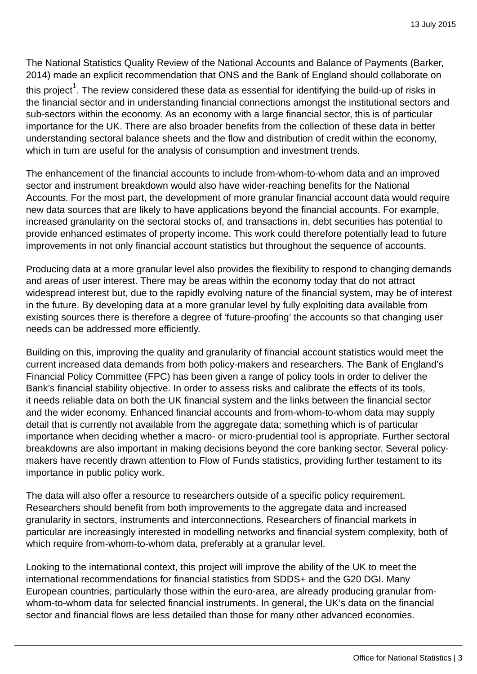The National Statistics Quality Review of the National Accounts and Balance of Payments (Barker, 2014) made an explicit recommendation that ONS and the Bank of England should collaborate on

this project $^{\rm 1}$ . The review considered these data as essential for identifying the build-up of risks in the financial sector and in understanding financial connections amongst the institutional sectors and sub-sectors within the economy. As an economy with a large financial sector, this is of particular importance for the UK. There are also broader benefits from the collection of these data in better understanding sectoral balance sheets and the flow and distribution of credit within the economy, which in turn are useful for the analysis of consumption and investment trends.

The enhancement of the financial accounts to include from-whom-to-whom data and an improved sector and instrument breakdown would also have wider-reaching benefits for the National Accounts. For the most part, the development of more granular financial account data would require new data sources that are likely to have applications beyond the financial accounts. For example, increased granularity on the sectoral stocks of, and transactions in, debt securities has potential to provide enhanced estimates of property income. This work could therefore potentially lead to future improvements in not only financial account statistics but throughout the sequence of accounts.

Producing data at a more granular level also provides the flexibility to respond to changing demands and areas of user interest. There may be areas within the economy today that do not attract widespread interest but, due to the rapidly evolving nature of the financial system, may be of interest in the future. By developing data at a more granular level by fully exploiting data available from existing sources there is therefore a degree of 'future-proofing' the accounts so that changing user needs can be addressed more efficiently.

Building on this, improving the quality and granularity of financial account statistics would meet the current increased data demands from both policy-makers and researchers. The Bank of England's Financial Policy Committee (FPC) has been given a range of policy tools in order to deliver the Bank's financial stability objective. In order to assess risks and calibrate the effects of its tools, it needs reliable data on both the UK financial system and the links between the financial sector and the wider economy. Enhanced financial accounts and from-whom-to-whom data may supply detail that is currently not available from the aggregate data; something which is of particular importance when deciding whether a macro- or micro-prudential tool is appropriate. Further sectoral breakdowns are also important in making decisions beyond the core banking sector. Several policymakers have recently drawn attention to Flow of Funds statistics, providing further testament to its importance in public policy work.

The data will also offer a resource to researchers outside of a specific policy requirement. Researchers should benefit from both improvements to the aggregate data and increased granularity in sectors, instruments and interconnections. Researchers of financial markets in particular are increasingly interested in modelling networks and financial system complexity, both of which require from-whom-to-whom data, preferably at a granular level.

Looking to the international context, this project will improve the ability of the UK to meet the international recommendations for financial statistics from SDDS+ and the G20 DGI. Many European countries, particularly those within the euro-area, are already producing granular fromwhom-to-whom data for selected financial instruments. In general, the UK's data on the financial sector and financial flows are less detailed than those for many other advanced economies.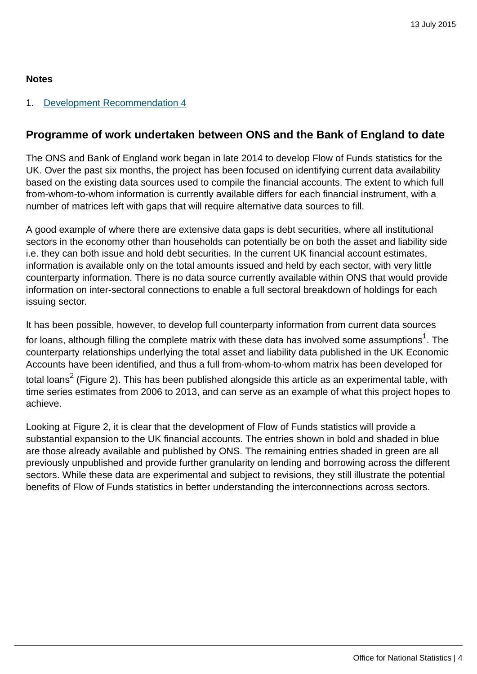## **Notes**

## 1. [Development Recommendation 4](http://www.ons.gov.uk:80/ons/rel/naa1-rd/national-statistics-quality-review/-nsqr--series--2--report-no--2--review-of-national-accounts-and-balance-of-payments/index.html)

# **Programme of work undertaken between ONS and the Bank of England to date**

The ONS and Bank of England work began in late 2014 to develop Flow of Funds statistics for the UK. Over the past six months, the project has been focused on identifying current data availability based on the existing data sources used to compile the financial accounts. The extent to which full from-whom-to-whom information is currently available differs for each financial instrument, with a number of matrices left with gaps that will require alternative data sources to fill.

A good example of where there are extensive data gaps is debt securities, where all institutional sectors in the economy other than households can potentially be on both the asset and liability side i.e. they can both issue and hold debt securities. In the current UK financial account estimates, information is available only on the total amounts issued and held by each sector, with very little counterparty information. There is no data source currently available within ONS that would provide information on inter-sectoral connections to enable a full sectoral breakdown of holdings for each issuing sector.

It has been possible, however, to develop full counterparty information from current data sources for loans, although filling the complete matrix with these data has involved some assumptions $^{\rm 1}$ . The counterparty relationships underlying the total asset and liability data published in the UK Economic Accounts have been identified, and thus a full from-whom-to-whom matrix has been developed for total loans<sup>2</sup> (Figure 2). This has been published alongside this article as an experimental table, with time series estimates from 2006 to 2013, and can serve as an example of what this project hopes to achieve.

Looking at Figure 2, it is clear that the development of Flow of Funds statistics will provide a substantial expansion to the UK financial accounts. The entries shown in bold and shaded in blue are those already available and published by ONS. The remaining entries shaded in green are all previously unpublished and provide further granularity on lending and borrowing across the different sectors. While these data are experimental and subject to revisions, they still illustrate the potential benefits of Flow of Funds statistics in better understanding the interconnections across sectors.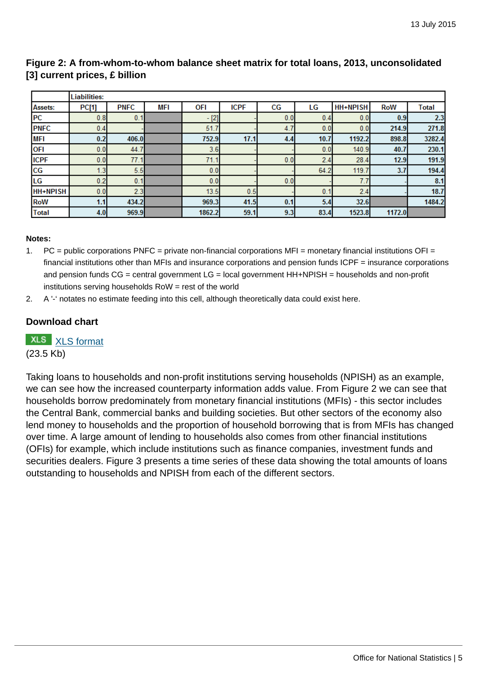|                 | <b>Liabilities:</b> |             |     |        |             |     |                |                 |            |              |
|-----------------|---------------------|-------------|-----|--------|-------------|-----|----------------|-----------------|------------|--------------|
| <b>Assets:</b>  | <b>PC[1]</b>        | <b>PNFC</b> | MFI | OFI    | <b>ICPF</b> | СG  | LG             | <b>HH+NPISH</b> | <b>RoW</b> | <b>Total</b> |
| <b>PC</b>       | 0.8                 | 0.1         |     | $-[2]$ |             | 0.0 | 0.4            | 0.0             | 0.9        | 2.3          |
| <b>PNFC</b>     | 0.4                 |             |     | 51.7   |             | 4.  | 0.0            | 0.0             | 214.9      | 271.8        |
| <b>MFI</b>      | 0.2                 | 406.0       |     | 752.9  | 17.1        | 4.4 | 10.7           | 1192.2          | 898.8      | 3282.4       |
| <b>OFI</b>      | 0.0                 | 44.1        |     | 3.6    |             |     | 0.0            | 140.9           | 40.7       | 230.1        |
| <b>ICPF</b>     | 0.0                 | 77.1        |     | 71.1   |             | 0.0 | 2.4            | 28.4            | 12.9       | 191.9        |
| CG              | 1.3                 | 5.5         |     | 0.0    |             |     | 64.2           | 119.7           | 3.7        | 194.4        |
| LG              | 0.2                 | 0.1         |     | 0.0    |             | 0.0 |                | 7.7             |            | 8.1          |
| <b>HH+NPISH</b> | 0.0                 | 2.3         |     | 13.5   | 0.5         |     | $\mathbf{0}$ . | 2.4             |            | 18.7         |
| <b>RoW</b>      | 1.1                 | 434.2       |     | 969.3  | 41.5        | 0.1 | 5.4            | 32.6            |            | 1484.2       |
| <b>Total</b>    | 4.0                 | 969.9       |     | 1862.2 | 59.1        | 9.3 | 83.4           | 1523.8          | 1172.0     |              |

## **Figure 2: A from-whom-to-whom balance sheet matrix for total loans, 2013, unconsolidated [3] current prices, £ billion**

#### **Notes:**

- 1. PC = public corporations PNFC = private non-financial corporations MFI = monetary financial institutions OFI = financial institutions other than MFIs and insurance corporations and pension funds ICPF = insurance corporations and pension funds CG = central government LG = local government HH+NPISH = households and non-profit institutions serving households RoW = rest of the world
- 2. A '-' notates no estimate feeding into this cell, although theoretically data could exist here.

## **Download chart**

**XLS** [XLS format](http://www.ons.gov.uk:80/ons/rel/naa1-rd/national-accounts-articles/the-uk-flow-of-funds-project--introduction--progress-and-future-work/chd-2.xls)

(23.5 Kb)

Taking loans to households and non-profit institutions serving households (NPISH) as an example, we can see how the increased counterparty information adds value. From Figure 2 we can see that households borrow predominately from monetary financial institutions (MFIs) - this sector includes the Central Bank, commercial banks and building societies. But other sectors of the economy also lend money to households and the proportion of household borrowing that is from MFIs has changed over time. A large amount of lending to households also comes from other financial institutions (OFIs) for example, which include institutions such as finance companies, investment funds and securities dealers. Figure 3 presents a time series of these data showing the total amounts of loans outstanding to households and NPISH from each of the different sectors.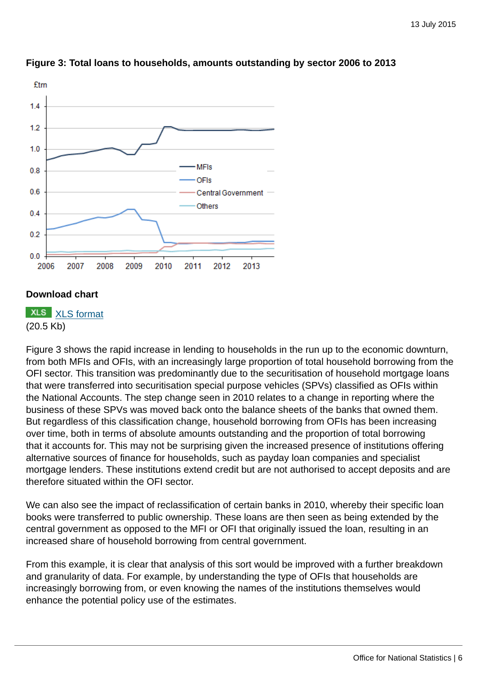

## **Figure 3: Total loans to households, amounts outstanding by sector 2006 to 2013**

## **Download chart**

**XLS** [XLS format](http://www.ons.gov.uk:80/ons/rel/naa1-rd/national-accounts-articles/the-uk-flow-of-funds-project--introduction--progress-and-future-work/chd-3.xls) (20.5 Kb)

Figure 3 shows the rapid increase in lending to households in the run up to the economic downturn, from both MFIs and OFIs, with an increasingly large proportion of total household borrowing from the OFI sector. This transition was predominantly due to the securitisation of household mortgage loans that were transferred into securitisation special purpose vehicles (SPVs) classified as OFIs within the National Accounts. The step change seen in 2010 relates to a change in reporting where the business of these SPVs was moved back onto the balance sheets of the banks that owned them. But regardless of this classification change, household borrowing from OFIs has been increasing over time, both in terms of absolute amounts outstanding and the proportion of total borrowing that it accounts for. This may not be surprising given the increased presence of institutions offering alternative sources of finance for households, such as payday loan companies and specialist mortgage lenders. These institutions extend credit but are not authorised to accept deposits and are therefore situated within the OFI sector.

We can also see the impact of reclassification of certain banks in 2010, whereby their specific loan books were transferred to public ownership. These loans are then seen as being extended by the central government as opposed to the MFI or OFI that originally issued the loan, resulting in an increased share of household borrowing from central government.

From this example, it is clear that analysis of this sort would be improved with a further breakdown and granularity of data. For example, by understanding the type of OFIs that households are increasingly borrowing from, or even knowing the names of the institutions themselves would enhance the potential policy use of the estimates.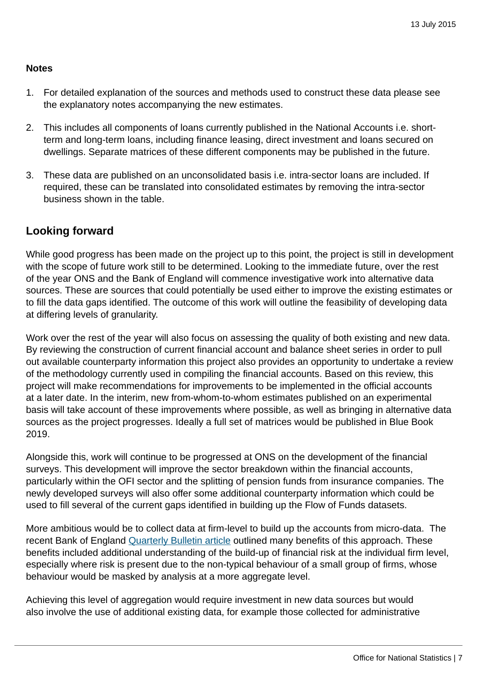## **Notes**

- 1. For detailed explanation of the sources and methods used to construct these data please see the explanatory notes accompanying the new estimates.
- 2. This includes all components of loans currently published in the National Accounts i.e. shortterm and long-term loans, including finance leasing, direct investment and loans secured on dwellings. Separate matrices of these different components may be published in the future.
- 3. These data are published on an unconsolidated basis i.e. intra-sector loans are included. If required, these can be translated into consolidated estimates by removing the intra-sector business shown in the table.

# **Looking forward**

While good progress has been made on the project up to this point, the project is still in development with the scope of future work still to be determined. Looking to the immediate future, over the rest of the year ONS and the Bank of England will commence investigative work into alternative data sources. These are sources that could potentially be used either to improve the existing estimates or to fill the data gaps identified. The outcome of this work will outline the feasibility of developing data at differing levels of granularity.

Work over the rest of the year will also focus on assessing the quality of both existing and new data. By reviewing the construction of current financial account and balance sheet series in order to pull out available counterparty information this project also provides an opportunity to undertake a review of the methodology currently used in compiling the financial accounts. Based on this review, this project will make recommendations for improvements to be implemented in the official accounts at a later date. In the interim, new from-whom-to-whom estimates published on an experimental basis will take account of these improvements where possible, as well as bringing in alternative data sources as the project progresses. Ideally a full set of matrices would be published in Blue Book 2019.

Alongside this, work will continue to be progressed at ONS on the development of the financial surveys. This development will improve the sector breakdown within the financial accounts, particularly within the OFI sector and the splitting of pension funds from insurance companies. The newly developed surveys will also offer some additional counterparty information which could be used to fill several of the current gaps identified in building up the Flow of Funds datasets.

More ambitious would be to collect data at firm-level to build up the accounts from micro-data. The recent Bank of England [Quarterly Bulletin article](http://www.bankofengland.co.uk/publications/Documents/quarterlybulletin/2015/q201.pdf) outlined many benefits of this approach. These benefits included additional understanding of the build-up of financial risk at the individual firm level, especially where risk is present due to the non-typical behaviour of a small group of firms, whose behaviour would be masked by analysis at a more aggregate level.

Achieving this level of aggregation would require investment in new data sources but would also involve the use of additional existing data, for example those collected for administrative